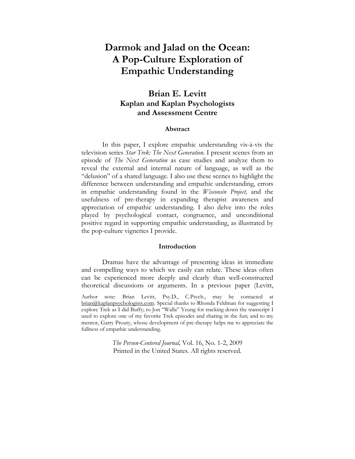# **Darmok and Jalad on the Ocean: A Pop-Culture Exploration of Empathic Understanding**

## **Brian E. Levitt Kaplan and Kaplan Psychologists and Assessment Centre**

### **Abstract**

In this paper, I explore empathic understanding vis-à-vis the television series *Star Trek: The Next Generation.* I present scenes from an episode of *The Next Generation* as case studies and analyze them to reveal the external and internal nature of language, as well as the "delusion" of a shared language. I also use these scenes to highlight the difference between understanding and empathic understanding, errors in empathic understanding found in the *Wisconsin Project,* and the usefulness of pre-therapy in expanding therapist awareness and appreciation of empathic understanding. I also delve into the roles played by psychological contact, congruence, and unconditional positive regard in supporting empathic understanding, as illustrated by the pop-culture vignettes I provide.

#### **Introduction**

 Dramas have the advantage of presenting ideas in immediate and compelling ways to which we easily can relate. These ideas often can be experienced more deeply and clearly than well-constructed theoretical discussions or arguments. In a previous paper (Levitt,

Author note: Brian Levitt, Psy.D., C.Psych., may be contacted at brian@kaplanpsychologists.com. Special thanks to Rhonda Feldman for suggesting I explore Trek as I did Buffy; to Jon "Walla" Yeung for tracking down the transcript I used to explore one of my favorite Trek episodes and sharing in the fun; and to my mentor, Garry Prouty, whose development of pre-therapy helps me to appreciate the fullness of empathic understanding.

> *The Person-Centered Journal,* Vol. 16, No. 1-2, 2009 Printed in the United States. All rights reserved.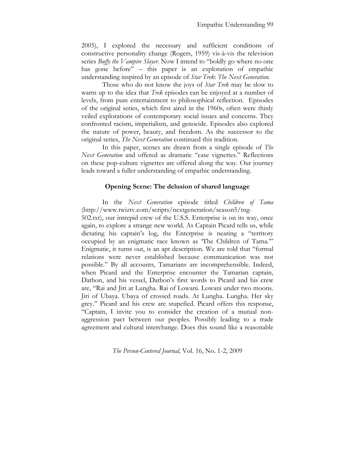2005), I explored the necessary and sufficient conditions of constructive personality change (Rogers, 1959) vis-à-vis the television series *Buffy the Vampire Slayer.* Now I intend to "boldly go where no one has gone before" – this paper is an exploration of empathic understanding inspired by an episode of *Star Trek*: *The Next Generation.* 

 Those who do not know the joys of *Star Trek* may be slow to warm up to the idea that *Trek* episodes can be enjoyed at a number of levels, from pure entertainment to philosophical reflection. Episodes of the original series, which first aired in the 1960s, often were thinly veiled explorations of contemporary social issues and concerns. They confronted racism, imperialism, and genocide. Episodes also explored the nature of power, beauty, and freedom. As the successor to the original series, *The Next Generation* continued this tradition.

In this paper, scenes are drawn from a single episode of *The Next Generation* and offered as dramatic "case vignettes." Reflections on these pop-culture vignettes are offered along the way. Our journey leads toward a fuller understanding of empathic understanding.

### **Opening Scene: The delusion of shared language**

 In the *Next Generation* episode titled *Children of Tama*  (http://www.twiztv.com/scripts/nextgeneration/season5/tng-502.txt), our intrepid crew of the U.S.S. Enterprise is on its way, once again, to explore a strange new world. As Captain Picard tells us, while dictating his captain's log, the Enterprise is nearing a "territory occupied by an enigmatic race known as 'The Children of Tama.'" Enigmatic, it turns out, is an apt description. We are told that "formal relations were never established because communication was not possible." By all accounts, Tamarians are incomprehensible. Indeed, when Picard and the Enterprise encounter the Tamarian captain, Dathon, and his vessel, Dathon's first words to Picard and his crew are, "Rai and Jiri at Lungha. Rai of Lowani. Lowani under two moons. Jiri of Ubaya. Ubaya of crossed roads. At Lungha. Lungha. Her sky grey." Picard and his crew are stupefied. Picard offers this response, "Captain, I invite you to consider the creation of a mutual nonaggression pact between our peoples. Possibly leading to a trade agreement and cultural interchange. Does this sound like a reasonable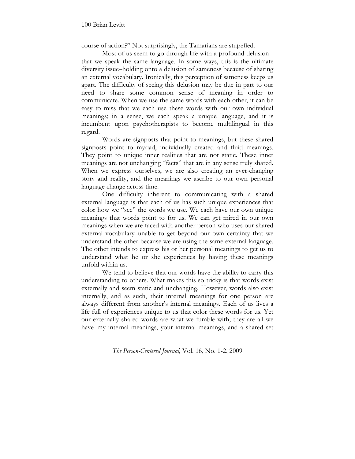course of action?" Not surprisingly, the Tamarians are stupefied.

 Most of us seem to go through life with a profound delusion- that we speak the same language. In some ways, this is the ultimate diversity issue–holding onto a delusion of sameness because of sharing an external vocabulary. Ironically, this perception of sameness keeps us apart. The difficulty of seeing this delusion may be due in part to our need to share some common sense of meaning in order to communicate. When we use the same words with each other, it can be easy to miss that we each use these words with our own individual meanings; in a sense, we each speak a unique language, and it is incumbent upon psychotherapists to become multilingual in this regard.

Words are signposts that point to meanings, but these shared signposts point to myriad, individually created and fluid meanings. They point to unique inner realities that are not static. These inner meanings are not unchanging "facts" that are in any sense truly shared. When we express ourselves, we are also creating an ever-changing story and reality, and the meanings we ascribe to our own personal language change across time.

 One difficulty inherent to communicating with a shared external language is that each of us has such unique experiences that color how we "see" the words we use. We each have our own unique meanings that words point to for us. We can get mired in our own meanings when we are faced with another person who uses our shared external vocabulary–unable to get beyond our own certainty that we understand the other because we are using the same external language. The other intends to express his or her personal meanings to get us to understand what he or she experiences by having these meanings unfold within us.

 We tend to believe that our words have the ability to carry this understanding to others. What makes this so tricky is that words exist externally and seem static and unchanging. However, words also exist internally, and as such, their internal meanings for one person are always different from another's internal meanings. Each of us lives a life full of experiences unique to us that color these words for us. Yet our externally shared words are what we fumble with; they are all we have–my internal meanings, your internal meanings, and a shared set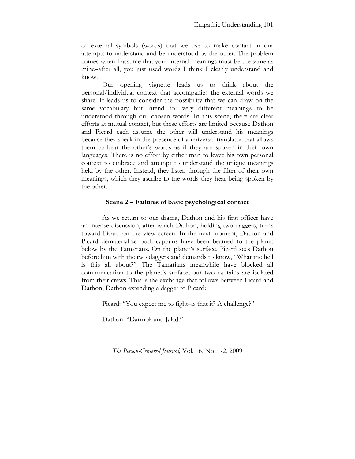of external symbols (words) that we use to make contact in our attempts to understand and be understood by the other. The problem comes when I assume that your internal meanings must be the same as mine–after all, you just used words I think I clearly understand and know.

 Our opening vignette leads us to think about the personal/individual context that accompanies the external words we share. It leads us to consider the possibility that we can draw on the same vocabulary but intend for very different meanings to be understood through our chosen words. In this scene, there are clear efforts at mutual contact, but these efforts are limited because Dathon and Picard each assume the other will understand his meanings because they speak in the presence of a universal translator that allows them to hear the other's words as if they are spoken in their own languages. There is no effort by either man to leave his own personal context to embrace and attempt to understand the unique meanings held by the other. Instead, they listen through the filter of their own meanings, which they ascribe to the words they hear being spoken by the other.

## **Scene 2 – Failures of basic psychological contact**

 As we return to our drama, Dathon and his first officer have an intense discussion, after which Dathon, holding two daggers, turns toward Picard on the view screen. In the next moment, Dathon and Picard dematerialize–both captains have been beamed to the planet below by the Tamarians. On the planet's surface, Picard sees Dathon before him with the two daggers and demands to know, "What the hell is this all about?" The Tamarians meanwhile have blocked all communication to the planet's surface; our two captains are isolated from their crews. This is the exchange that follows between Picard and Dathon, Dathon extending a dagger to Picard:

Picard: "You expect me to fight–is that it? A challenge?"

Dathon: "Darmok and Jalad."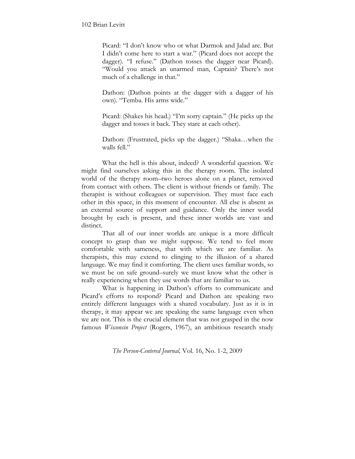Picard: "I don't know who or what Darmok and Jalad are. But I didn't come here to start a war." (Picard does not accept the dagger). "I refuse." (Dathon tosses the dagger near Picard). "Would you attack an unarmed man, Captain? There's not much of a challenge in that."

Dathon: (Dathon points at the dagger with a dagger of his own). "Temba. His arms wide."

Picard: (Shakes his head.) "I'm sorry captain." (He picks up the dagger and tosses it back. They stare at each other).

Dathon: (Frustrated, picks up the dagger.) "Shaka…when the walls fell."

 What the hell is this about, indeed? A wonderful question. We might find ourselves asking this in the therapy room. The isolated world of the therapy room–two heroes alone on a planet, removed from contact with others. The client is without friends or family. The therapist is without colleagues or supervision. They must face each other in this space, in this moment of encounter. All else is absent as an external source of support and guidance. Only the inner world brought by each is present, and these inner worlds are vast and distinct.

That all of our inner worlds are unique is a more difficult concept to grasp than we might suppose. We tend to feel more comfortable with sameness, that with which we are familiar. As therapists, this may extend to clinging to the illusion of a shared language. We may find it comforting. The client uses familiar words, so we must be on safe ground–surely we must know what the other is really experiencing when they use words that are familiar to us.

 What is happening in Dathon's efforts to communicate and Picard's efforts to respond? Picard and Dathon are speaking two entirely different languages with a shared vocabulary. Just as it is in therapy, it may appear we are speaking the same language even when we are not. This is the crucial element that was not grasped in the now famous *Wisconsin Project* (Rogers, 1967), an ambitious research study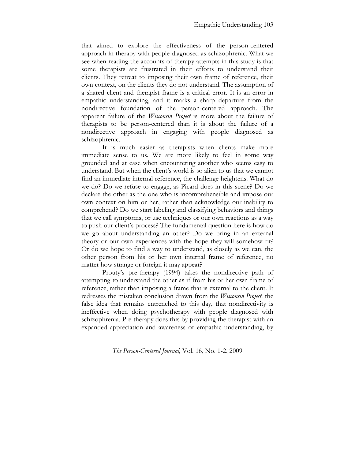that aimed to explore the effectiveness of the person-centered approach in therapy with people diagnosed as schizophrenic. What we see when reading the accounts of therapy attempts in this study is that some therapists are frustrated in their efforts to understand their clients. They retreat to imposing their own frame of reference, their own context, on the clients they do not understand. The assumption of a shared client and therapist frame is a critical error. It is an error in empathic understanding, and it marks a sharp departure from the nondirective foundation of the person-centered approach. The apparent failure of the *Wisconsin Project* is more about the failure of therapists to be person-centered than it is about the failure of a nondirective approach in engaging with people diagnosed as schizophrenic.

It is much easier as therapists when clients make more immediate sense to us. We are more likely to feel in some way grounded and at ease when encountering another who seems easy to understand. But when the client's world is so alien to us that we cannot find an immediate internal reference, the challenge heightens. What do we do? Do we refuse to engage, as Picard does in this scene? Do we declare the other as the one who is incomprehensible and impose our own context on him or her, rather than acknowledge our inability to comprehend? Do we start labeling and classifying behaviors and things that we call symptoms, or use techniques or our own reactions as a way to push our client's process? The fundamental question here is how do we go about understanding an other? Do we bring in an external theory or our own experiences with the hope they will somehow fit? Or do we hope to find a way to understand, as closely as we can, the other person from his or her own internal frame of reference, no matter how strange or foreign it may appear?

 Prouty's pre-therapy (1994) takes the nondirective path of attempting to understand the other as if from his or her own frame of reference, rather than imposing a frame that is external to the client. It redresses the mistaken conclusion drawn from the *Wisconsin Project,* the false idea that remains entrenched to this day, that nondirectivity is ineffective when doing psychotherapy with people diagnosed with schizophrenia. Pre-therapy does this by providing the therapist with an expanded appreciation and awareness of empathic understanding, by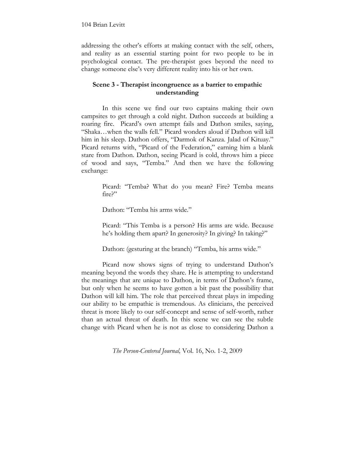addressing the other's efforts at making contact with the self, others, and reality as an essential starting point for two people to be in psychological contact. The pre-therapist goes beyond the need to change someone else's very different reality into his or her own.

## **Scene 3 - Therapist incongruence as a barrier to empathic understanding**

 In this scene we find our two captains making their own campsites to get through a cold night. Dathon succeeds at building a roaring fire. Picard's own attempt fails and Dathon smiles, saying, "Shaka…when the walls fell." Picard wonders aloud if Dathon will kill him in his sleep. Dathon offers, "Darmok of Kanza. Jalad of Kituay." Picard returns with, "Picard of the Federation," earning him a blank stare from Dathon. Dathon, seeing Picard is cold, throws him a piece of wood and says, "Temba." And then we have the following exchange:

> Picard: "Temba? What do you mean? Fire? Temba means fire?"

Dathon: "Temba his arms wide."

Picard: "This Temba is a person? His arms are wide. Because he's holding them apart? In generosity? In giving? In taking?"

Dathon: (gesturing at the branch) "Temba, his arms wide."

 Picard now shows signs of trying to understand Dathon's meaning beyond the words they share. He is attempting to understand the meanings that are unique to Dathon, in terms of Dathon's frame, but only when he seems to have gotten a bit past the possibility that Dathon will kill him. The role that perceived threat plays in impeding our ability to be empathic is tremendous. As clinicians, the perceived threat is more likely to our self-concept and sense of self-worth, rather than an actual threat of death. In this scene we can see the subtle change with Picard when he is not as close to considering Dathon a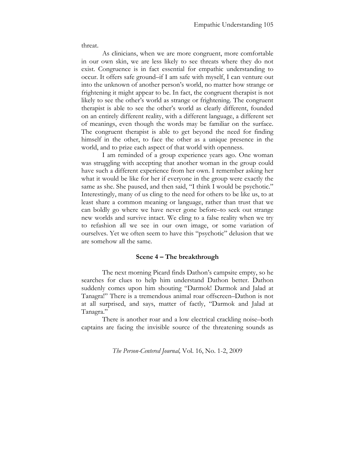threat.

 As clinicians, when we are more congruent, more comfortable in our own skin, we are less likely to see threats where they do not exist. Congruence is in fact essential for empathic understanding to occur. It offers safe ground–if I am safe with myself, I can venture out into the unknown of another person's world, no matter how strange or frightening it might appear to be. In fact, the congruent therapist is not likely to see the other's world as strange or frightening. The congruent therapist is able to see the other's world as clearly different, founded on an entirely different reality, with a different language, a different set of meanings, even though the words may be familiar on the surface. The congruent therapist is able to get beyond the need for finding himself in the other, to face the other as a unique presence in the world, and to prize each aspect of that world with openness.

 I am reminded of a group experience years ago. One woman was struggling with accepting that another woman in the group could have such a different experience from her own. I remember asking her what it would be like for her if everyone in the group were exactly the same as she. She paused, and then said, "I think I would be psychotic." Interestingly, many of us cling to the need for others to be like us, to at least share a common meaning or language, rather than trust that we can boldly go where we have never gone before–to seek out strange new worlds and survive intact. We cling to a false reality when we try to refashion all we see in our own image, or some variation of ourselves. Yet we often seem to have this "psychotic" delusion that we are somehow all the same.

#### **Scene 4 – The breakthrough**

 The next morning Picard finds Dathon's campsite empty, so he searches for clues to help him understand Dathon better. Dathon suddenly comes upon him shouting "Darmok! Darmok and Jalad at Tanagra!" There is a tremendous animal roar offscreen–Dathon is not at all surprised, and says, matter of factly, "Darmok and Jalad at Tanagra."

 There is another roar and a low electrical crackling noise–both captains are facing the invisible source of the threatening sounds as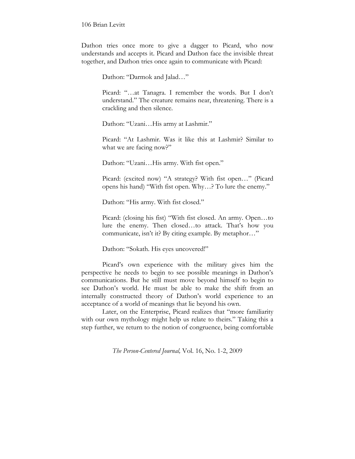Dathon tries once more to give a dagger to Picard, who now understands and accepts it. Picard and Dathon face the invisible threat together, and Dathon tries once again to communicate with Picard:

Dathon: "Darmok and Jalad…"

Picard: "…at Tanagra. I remember the words. But I don't understand." The creature remains near, threatening. There is a crackling and then silence.

Dathon: "Uzani…His army at Lashmir."

Picard: "At Lashmir. Was it like this at Lashmir? Similar to what we are facing now?"

Dathon: "Uzani…His army. With fist open."

Picard: (excited now) "A strategy? With fist open…" (Picard opens his hand) "With fist open. Why…? To lure the enemy."

Dathon: "His army. With fist closed."

Picard: (closing his fist) "With fist closed. An army. Open…to lure the enemy. Then closed…to attack. That's how you communicate, isn't it? By citing example. By metaphor…"

Dathon: "Sokath. His eyes uncovered!"

Picard's own experience with the military gives him the perspective he needs to begin to see possible meanings in Dathon's communications. But he still must move beyond himself to begin to see Dathon's world. He must be able to make the shift from an internally constructed theory of Dathon's world experience to an acceptance of a world of meanings that lie beyond his own.

 Later, on the Enterprise, Picard realizes that "more familiarity with our own mythology might help us relate to theirs." Taking this a step further, we return to the notion of congruence, being comfortable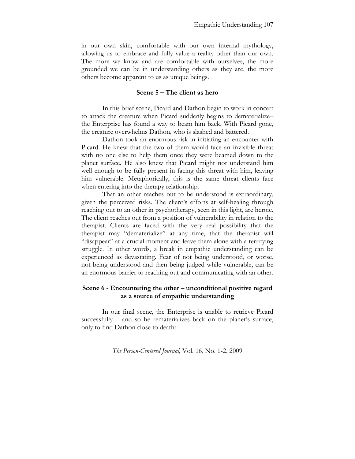in our own skin, comfortable with our own internal mythology, allowing us to embrace and fully value a reality other than our own. The more we know and are comfortable with ourselves, the more grounded we can be in understanding others as they are, the more others become apparent to us as unique beings.

## **Scene 5 – The client as hero**

 In this brief scene, Picard and Dathon begin to work in concert to attack the creature when Picard suddenly begins to dematerialize– the Enterprise has found a way to beam him back. With Picard gone, the creature overwhelms Dathon, who is slashed and battered.

 Dathon took an enormous risk in initiating an encounter with Picard. He knew that the two of them would face an invisible threat with no one else to help them once they were beamed down to the planet surface. He also knew that Picard might not understand him well enough to be fully present in facing this threat with him, leaving him vulnerable. Metaphorically, this is the same threat clients face when entering into the therapy relationship.

 That an other reaches out to be understood is extraordinary, given the perceived risks. The client's efforts at self-healing through reaching out to an other in psychotherapy, seen in this light, are heroic. The client reaches out from a position of vulnerability in relation to the therapist. Clients are faced with the very real possibility that the therapist may "dematerialize" at any time, that the therapist will "disappear" at a crucial moment and leave them alone with a terrifying struggle. In other words, a break in empathic understanding can be experienced as devastating. Fear of not being understood, or worse, not being understood and then being judged while vulnerable, can be an enormous barrier to reaching out and communicating with an other.

## **Scene 6 - Encountering the other – unconditional positive regard as a source of empathic understanding**

 In our final scene, the Enterprise is unable to retrieve Picard successfully – and so he rematerializes back on the planet's surface, only to find Dathon close to death: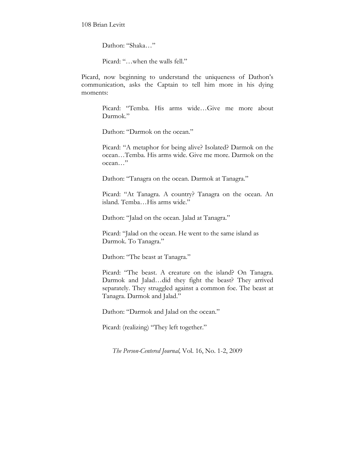Dathon: "Shaka…"

Picard: "…when the walls fell."

Picard, now beginning to understand the uniqueness of Dathon's communication, asks the Captain to tell him more in his dying moments:

> Picard: "Temba. His arms wide…Give me more about Darmok."

Dathon: "Darmok on the ocean."

Picard: "A metaphor for being alive? Isolated? Darmok on the ocean…Temba. His arms wide. Give me more. Darmok on the ocean…"

Dathon: "Tanagra on the ocean. Darmok at Tanagra."

Picard: "At Tanagra. A country? Tanagra on the ocean. An island. Temba…His arms wide."

Dathon: "Jalad on the ocean. Jalad at Tanagra."

Picard: "Jalad on the ocean. He went to the same island as Darmok. To Tanagra."

Dathon: "The beast at Tanagra."

Picard: "The beast. A creature on the island? On Tanagra. Darmok and Jalad…did they fight the beast? They arrived separately. They struggled against a common foe. The beast at Tanagra. Darmok and Jalad."

Dathon: "Darmok and Jalad on the ocean."

Picard: (realizing) "They left together."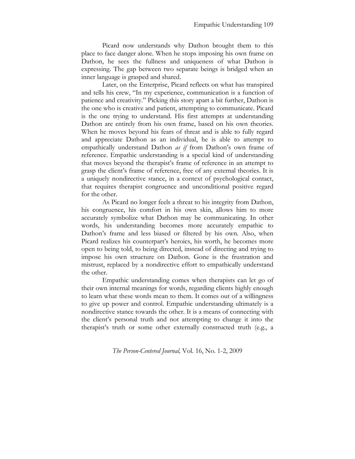Picard now understands why Dathon brought them to this place to face danger alone. When he stops imposing his own frame on Dathon, he sees the fullness and uniqueness of what Dathon is expressing. The gap between two separate beings is bridged when an inner language is grasped and shared.

 Later, on the Enterprise, Picard reflects on what has transpired and tells his crew, "In my experience, communication is a function of patience and creativity." Picking this story apart a bit further, Dathon is the one who is creative and patient, attempting to communicate. Picard is the one trying to understand. His first attempts at understanding Dathon are entirely from his own frame, based on his own theories. When he moves beyond his fears of threat and is able to fully regard and appreciate Dathon as an individual, he is able to attempt to empathically understand Dathon *as if* from Dathon's own frame of reference. Empathic understanding is a special kind of understanding that moves beyond the therapist's frame of reference in an attempt to grasp the client's frame of reference, free of any external theories. It is a uniquely nondirective stance, in a context of psychological contact, that requires therapist congruence and unconditional positive regard for the other.

 As Picard no longer feels a threat to his integrity from Dathon, his congruence, his comfort in his own skin, allows him to more accurately symbolize what Dathon may be communicating. In other words, his understanding becomes more accurately empathic to Dathon's frame and less biased or filtered by his own. Also, when Picard realizes his counterpart's heroics, his worth, he becomes more open to being told, to being directed, instead of directing and trying to impose his own structure on Dathon. Gone is the frustration and mistrust, replaced by a nondirective effort to empathically understand the other.

 Empathic understanding comes when therapists can let go of their own internal meanings for words, regarding clients highly enough to learn what these words mean to them. It comes out of a willingness to give up power and control. Empathic understanding ultimately is a nondirective stance towards the other. It is a means of connecting with the client's personal truth and not attempting to change it into the therapist's truth or some other externally constructed truth (e.g., a